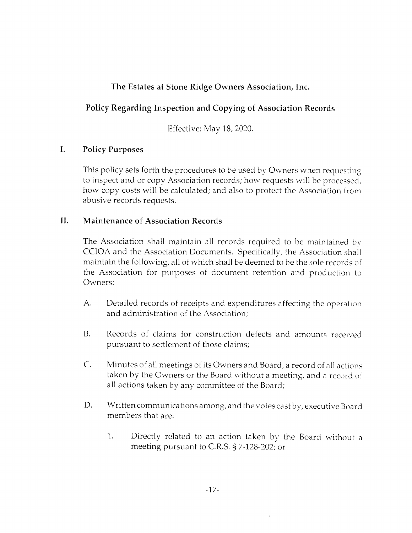# The Estates at Stone Ridge Owners Association, Inc.

# Policy Regarding Inspection and Copying of Association Records

Effective: May 18, 2020.

## I. Policy Purposes

This policy sets forth the procedures to be used by Owners when requesting to inspect and or copy Association records; how requests will be processed, how copy costs will be calculated; and also to protect the Association from abusive records requests.

### II. Maintenance of Association Records

The Association shall maintain all records required to be maintained by CCIOA and the Association Documents. Specifically, the Association shall maintain the following, all of which shall be deemed to be the sole records of the Association for purposes of document retention and production to Owners:

- A. Detailed records of receipts and expenditures affecting the operation and administration of the Association;
- B. Records of claims for construction defects and amounts received pursuant to settlement of those claims;
- C. Minutes of all meetings of its Owners and Board, a record of all actions taken by the Owners or the Board without a meeting, and a record of all actions taken by any committee of the Board;
- D. Written communications among, and the votes cast by, executive Board members that are:
	- 1. Directly related to an action taken by the Board without a meeting pursuant to C.R.S.  $\S$  7-128-202; or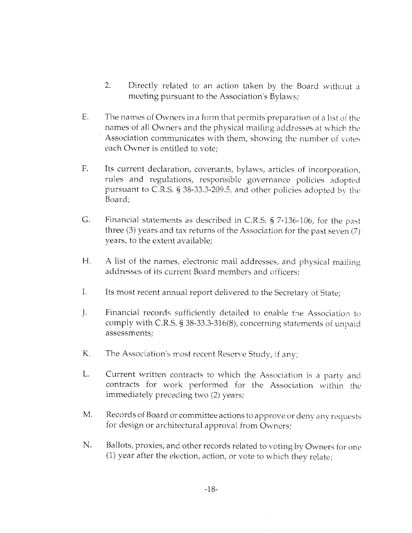- $2.$ Directly related to an action taken by the Board without a meeting pursuant to the Association's Bylaws;
- $E.$ The names of Owners in a form that permits preparation of a list of the names of all Owners and the physical mailing addresses at which the Association communicates with them, showing the number of votes each Owner is entitled to vote;
- $F_{\star}$ Its current declaration, covenants, bylaws, articles of incorporation, rules and regulations, responsible governance policies adopted pursuant to C.R.S. § 38-33.3-209.5, and other policies adopted by the Board;
- $G<sub>r</sub>$ Financial statements as described in C.R.S. § 7-136-106, for the past three  $(3)$  years and tax returns of the Association for the past seven  $(7)$ years, to the extent available;
- $H_{\cdot}$ A list of the names, electronic mail addresses, and physical mailing addresses of its current Board members and officers:
- $\mathbf{I}$ . Its most recent annual report delivered to the Secretary of State;
- $\mathbf{L}$ Financial records sufficiently detailed to enable the Association to comply with C.R.S. § 38-33.3-316(8), concerning statements of unpaid assessments;
- Κ. The Association's most recent Reserve Study, if any;
- L. Current written contracts to which the Association is a party and contracts for work performed for the Association within the immediately preceding two (2) years;
- M. Records of Board or committee actions to approve or deny any requests for design or architectural approval from Owners;
- N. Ballots, proxies, and other records related to voting by Owners for one (1) year after the election, action, or vote to which they relate;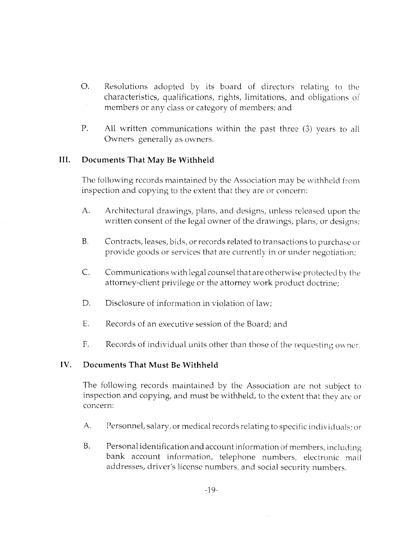- O. Resolutions adopted by its board of directors relating to the characteristics, qualifications, rights, limitations, and obligations of members or any class or category of members; and
- P. All written communications within the past three (3) vears to all Owners generally as owners.

#### Documents That May Be Withheld III.

The following records maintained by the Association may be withheld from inspection and copying to the extent that they are or concern:

- A. Architectural drawings, plans, and designs, unless released upon the written consent of the legal owner of the drawings, plans, or designs;
- B. Contracts, leases, bids, or records related to transactions to purchase or provide goods or services that are currently in or under negotiation;
- C. Communications with legal counsel that are otherwise protected by the attorney-client privilege or the attorney work product doctrine;
- D. Disclosure of information in violation of law;
- E. Records of an executive session of the Board; and
- F. Records of individual units other than those of the requesting owner.

#### Documents That Must Be Withheld TV.

The following records maintained by the Association are not subject to inspection and copying, and must be withheld, to the extent that they are or concern:

- Personnel, salary, or medical records relating to specific individuals; or A.
- Personal identification and account information of members, including bank account information, telephone numbers, electronic mail addresses, driver's license numbers, and social security numbers. B.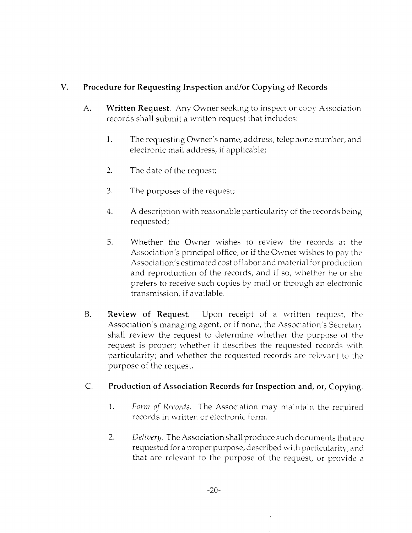### V. Procedure for Requesting Inspection and/or Copying of Records

- A. **Written Request.** Any Owner seeking to inspect or copy Association records shall submit a written request that includes:
	- 1. The requesting Owner's name, address, telephone number, and electronic mail address, if applicable;
	- $2.$ The date of the request;
	- 3. The purposes of the request;
	- 4. A description with reasonable particularity of the records being requested;
	- 5. Whether the Owner wishes to review the records at the Association's principal office, or if the Owner wishes to pay the Association's estimated cost of labor and material for production and reproduction of the records, and if so, whether he or she prefers to receive such copies by mail or through an electronic transmission, if available.
- **B.** Review of Request. Upon receipt of a written request, the Association's managing agent, or if none, the Association's Secretary shall review the request to determine whether the purpose of the request is proper; whether it describes the requested records with particularity; and whether the requested records are relevant to the purpose of the request.

#### $C$ . Production of Association Records for Inspection and, or, Copying.

- 1. Form of Records. The Association may maintain the required records in written or electronic form.
- 2. Delivery. The Association shall produce such documents that are requested for a proper purpose, described with particularity, and that are relevant to the purpose of the request, or provide a